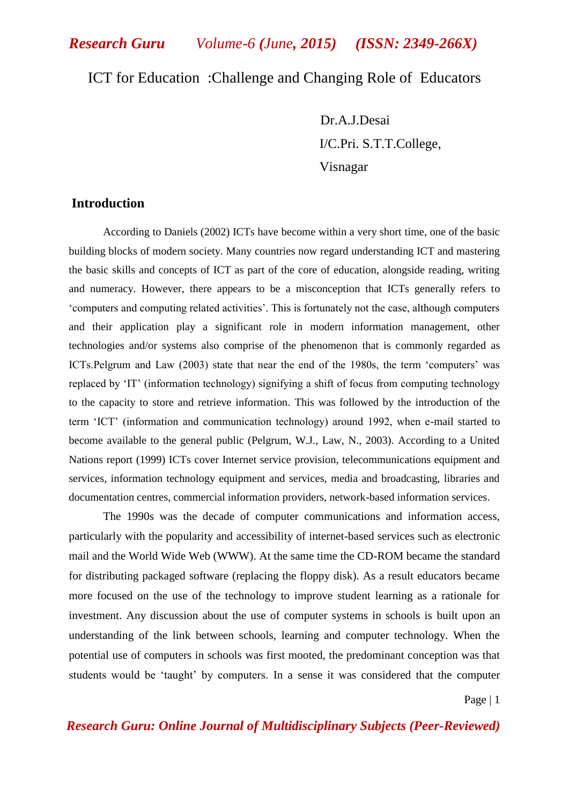*Research Guru Volume-6 (June, 2015) (ISSN: 2349-266X)*

# ICT for Education :Challenge and Changing Role of Educators

 Dr.A.J.Desai I/C.Pri. S.T.T.College, Visnagar

# **Introduction**

According to Daniels (2002) ICTs have become within a very short time, one of the basic building blocks of modern society. Many countries now regard understanding ICT and mastering the basic skills and concepts of ICT as part of the core of education, alongside reading, writing and numeracy. However, there appears to be a misconception that ICTs generally refers to "computers and computing related activities". This is fortunately not the case, although computers and their application play a significant role in modern information management, other technologies and/or systems also comprise of the phenomenon that is commonly regarded as ICTs.Pelgrum and Law (2003) state that near the end of the 1980s, the term "computers" was replaced by "IT" (information technology) signifying a shift of focus from computing technology to the capacity to store and retrieve information. This was followed by the introduction of the term "ICT" (information and communication technology) around 1992, when e-mail started to become available to the general public (Pelgrum, W.J., Law, N., 2003). According to a United Nations report (1999) ICTs cover Internet service provision, telecommunications equipment and services, information technology equipment and services, media and broadcasting, libraries and documentation centres, commercial information providers, network-based information services.

The 1990s was the decade of computer communications and information access, particularly with the popularity and accessibility of internet-based services such as electronic mail and the World Wide Web (WWW). At the same time the CD-ROM became the standard for distributing packaged software (replacing the floppy disk). As a result educators became more focused on the use of the technology to improve student learning as a rationale for investment. Any discussion about the use of computer systems in schools is built upon an understanding of the link between schools, learning and computer technology. When the potential use of computers in schools was first mooted, the predominant conception was that students would be "taught" by computers. In a sense it was considered that the computer

Page | 1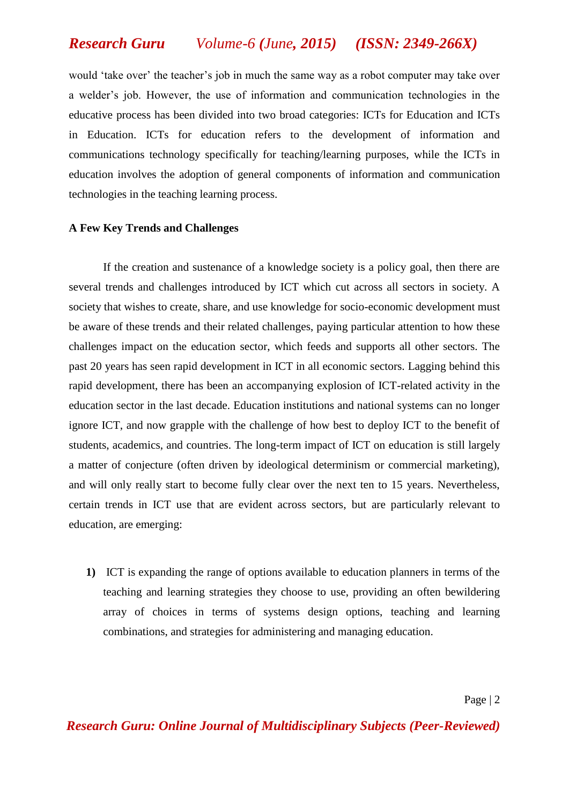# *Research Guru Volume-6 (June, 2015) (ISSN: 2349-266X)*

would 'take over' the teacher's job in much the same way as a robot computer may take over a welder"s job. However, the use of information and communication technologies in the educative process has been divided into two broad categories: ICTs for Education and ICTs in Education. ICTs for education refers to the development of information and communications technology specifically for teaching/learning purposes, while the ICTs in education involves the adoption of general components of information and communication technologies in the teaching learning process.

#### **A Few Key Trends and Challenges**

If the creation and sustenance of a knowledge society is a policy goal, then there are several trends and challenges introduced by ICT which cut across all sectors in society. A society that wishes to create, share, and use knowledge for socio-economic development must be aware of these trends and their related challenges, paying particular attention to how these challenges impact on the education sector, which feeds and supports all other sectors. The past 20 years has seen rapid development in ICT in all economic sectors. Lagging behind this rapid development, there has been an accompanying explosion of ICT-related activity in the education sector in the last decade. Education institutions and national systems can no longer ignore ICT, and now grapple with the challenge of how best to deploy ICT to the benefit of students, academics, and countries. The long-term impact of ICT on education is still largely a matter of conjecture (often driven by ideological determinism or commercial marketing), and will only really start to become fully clear over the next ten to 15 years. Nevertheless, certain trends in ICT use that are evident across sectors, but are particularly relevant to education, are emerging:

**1)** ICT is expanding the range of options available to education planners in terms of the teaching and learning strategies they choose to use, providing an often bewildering array of choices in terms of systems design options, teaching and learning combinations, and strategies for administering and managing education.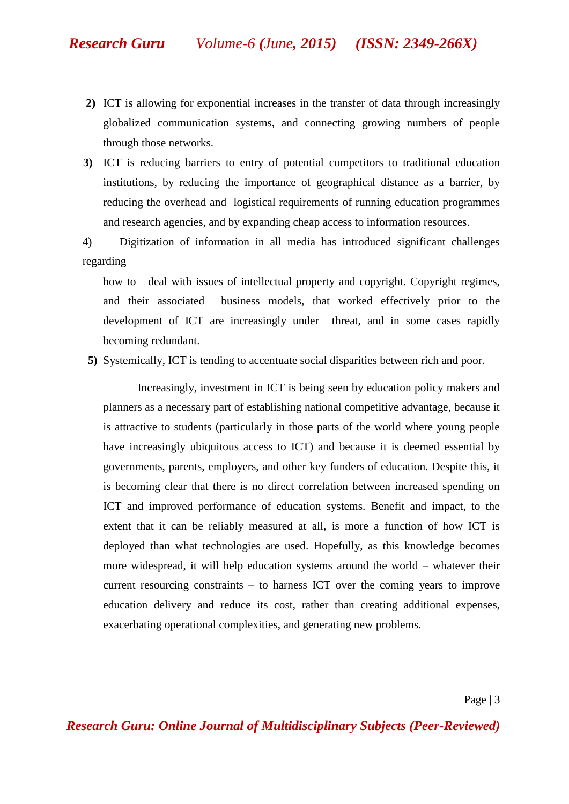- **2)** ICT is allowing for exponential increases in the transfer of data through increasingly globalized communication systems, and connecting growing numbers of people through those networks.
- **3)** ICT is reducing barriers to entry of potential competitors to traditional education institutions, by reducing the importance of geographical distance as a barrier, by reducing the overhead and logistical requirements of running education programmes and research agencies, and by expanding cheap access to information resources.

4)Digitization of information in all media has introduced significant challenges regarding

how to deal with issues of intellectual property and copyright. Copyright regimes, and their associated business models, that worked effectively prior to the development of ICT are increasingly under threat, and in some cases rapidly becoming redundant.

 **5)** Systemically, ICT is tending to accentuate social disparities between rich and poor.

Increasingly, investment in ICT is being seen by education policy makers and planners as a necessary part of establishing national competitive advantage, because it is attractive to students (particularly in those parts of the world where young people have increasingly ubiquitous access to ICT) and because it is deemed essential by governments, parents, employers, and other key funders of education. Despite this, it is becoming clear that there is no direct correlation between increased spending on ICT and improved performance of education systems. Benefit and impact, to the extent that it can be reliably measured at all, is more a function of how ICT is deployed than what technologies are used. Hopefully, as this knowledge becomes more widespread, it will help education systems around the world – whatever their current resourcing constraints – to harness ICT over the coming years to improve education delivery and reduce its cost, rather than creating additional expenses, exacerbating operational complexities, and generating new problems.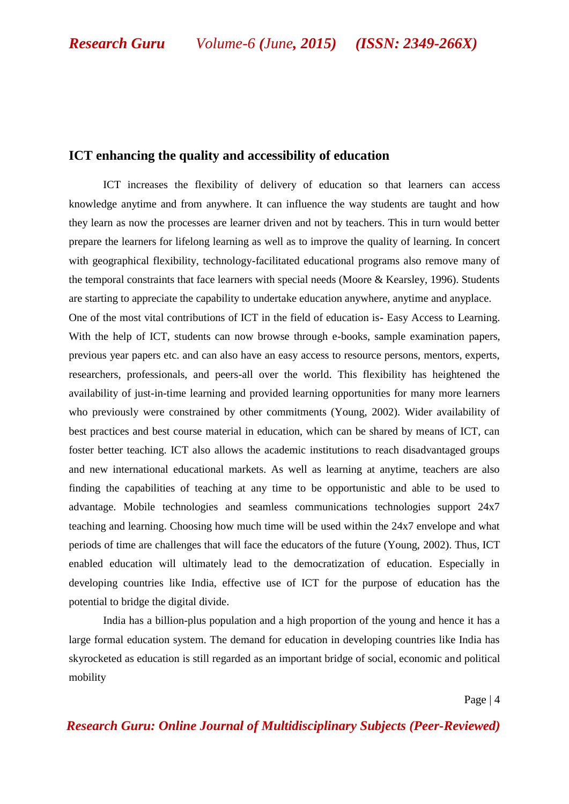#### **ICT enhancing the quality and accessibility of education**

ICT increases the flexibility of delivery of education so that learners can access knowledge anytime and from anywhere. It can influence the way students are taught and how they learn as now the processes are learner driven and not by teachers. This in turn would better prepare the learners for lifelong learning as well as to improve the quality of learning. In concert with geographical flexibility, technology-facilitated educational programs also remove many of the temporal constraints that face learners with special needs (Moore & Kearsley, 1996). Students are starting to appreciate the capability to undertake education anywhere, anytime and anyplace. One of the most vital contributions of ICT in the field of education is- Easy Access to Learning. With the help of ICT, students can now browse through e-books, sample examination papers, previous year papers etc. and can also have an easy access to resource persons, mentors, experts, researchers, professionals, and peers-all over the world. This flexibility has heightened the availability of just-in-time learning and provided learning opportunities for many more learners who previously were constrained by other commitments (Young, 2002). Wider availability of best practices and best course material in education, which can be shared by means of ICT, can foster better teaching. ICT also allows the academic institutions to reach disadvantaged groups and new international educational markets. As well as learning at anytime, teachers are also finding the capabilities of teaching at any time to be opportunistic and able to be used to advantage. Mobile technologies and seamless communications technologies support 24x7 teaching and learning. Choosing how much time will be used within the 24x7 envelope and what periods of time are challenges that will face the educators of the future (Young, 2002). Thus, ICT

enabled education will ultimately lead to the democratization of education. Especially in developing countries like India, effective use of ICT for the purpose of education has the potential to bridge the digital divide.

India has a billion-plus population and a high proportion of the young and hence it has a large formal education system. The demand for education in developing countries like India has skyrocketed as education is still regarded as an important bridge of social, economic and political mobility

Page | 4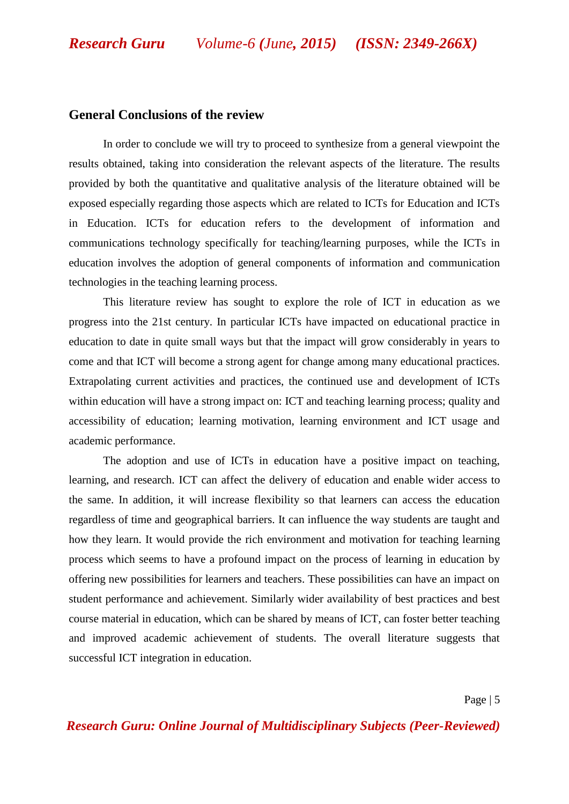# **General Conclusions of the review**

In order to conclude we will try to proceed to synthesize from a general viewpoint the results obtained, taking into consideration the relevant aspects of the literature. The results provided by both the quantitative and qualitative analysis of the literature obtained will be exposed especially regarding those aspects which are related to ICTs for Education and ICTs in Education. ICTs for education refers to the development of information and communications technology specifically for teaching/learning purposes, while the ICTs in education involves the adoption of general components of information and communication technologies in the teaching learning process.

This literature review has sought to explore the role of ICT in education as we progress into the 21st century. In particular ICTs have impacted on educational practice in education to date in quite small ways but that the impact will grow considerably in years to come and that ICT will become a strong agent for change among many educational practices. Extrapolating current activities and practices, the continued use and development of ICTs within education will have a strong impact on: ICT and teaching learning process; quality and accessibility of education; learning motivation, learning environment and ICT usage and academic performance.

The adoption and use of ICTs in education have a positive impact on teaching, learning, and research. ICT can affect the delivery of education and enable wider access to the same. In addition, it will increase flexibility so that learners can access the education regardless of time and geographical barriers. It can influence the way students are taught and how they learn. It would provide the rich environment and motivation for teaching learning process which seems to have a profound impact on the process of learning in education by offering new possibilities for learners and teachers. These possibilities can have an impact on student performance and achievement. Similarly wider availability of best practices and best course material in education, which can be shared by means of ICT, can foster better teaching and improved academic achievement of students. The overall literature suggests that successful ICT integration in education.